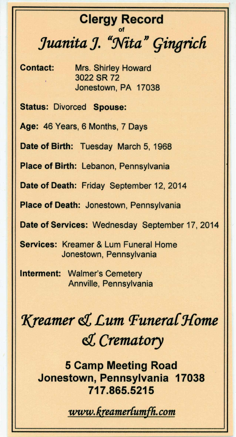## **Clergy Record** of *Juanita J. "NitaI} qingrich*

**Contact:** Mrs. Shirley Howard 3022 SR 72 Jonestown, PA 17038

**Status:** Divorced **Spouse:**

**Age:** 46 Years, 6 Months, 7 Days

**Date of Birth:** Tuesday March 5, 1968

**Place of Birth:** Lebanon, Pennsylvania

**Date of Death:** Friday September 12,2014

**Place of Death:** Jonestown, Pennsylvania

**Date of Services:** Wednesday September 17, 2014

**Services:** Kreamer & Lum Funeral Home Jonestown, Pennsylvania

**Interment:** Walmer's Cemetery Annville, Pennsylvania

## *'Kreamer* **d***£um Punera{J{ome* **d***Crematory*

**5 Camp Meeting Road Jonestown, Pennsylvania 17038 717.865.5215**

 $www.$ *kreamer{umfh.com*